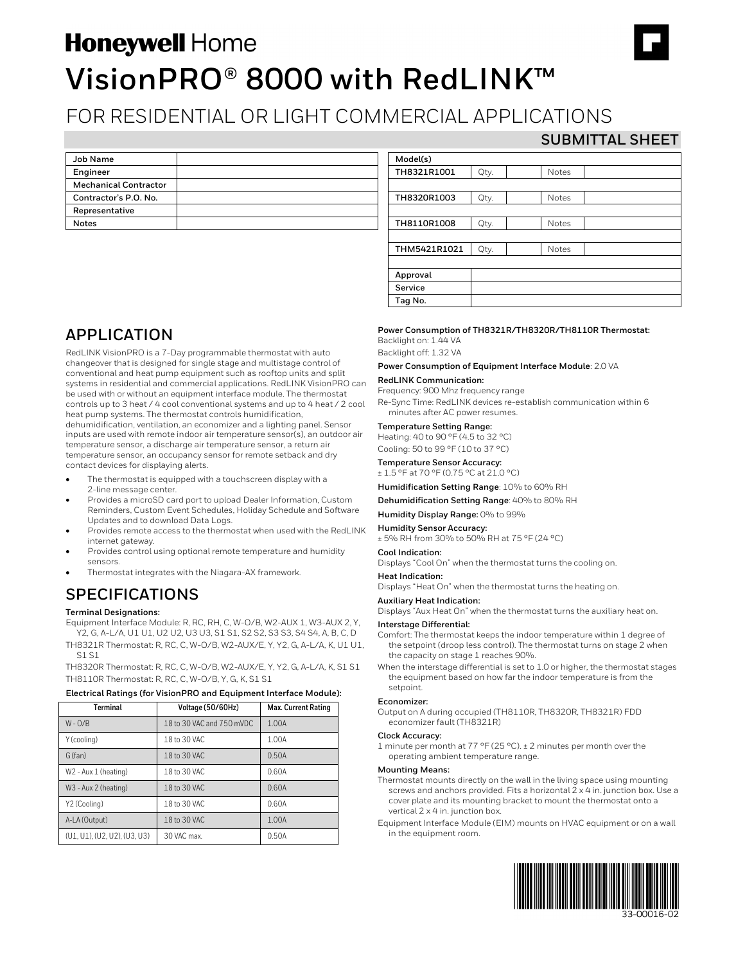# **Honeywell Home VisionPRO® 8000 with RedLINK™**

## FOR RESIDENTIAL OR LIGHT COMMERCIAL APPLICATIONS

### **SUBMITTAL SHEET**

| Job Name                     |  |
|------------------------------|--|
| Engineer                     |  |
| <b>Mechanical Contractor</b> |  |
| Contractor's P.O. No.        |  |
| Representative               |  |
| <b>Notes</b>                 |  |

| Model(s)     |      |              |  |  |
|--------------|------|--------------|--|--|
| TH8321R1001  | Qty. | <b>Notes</b> |  |  |
|              |      |              |  |  |
| TH8320R1003  | Qty. | <b>Notes</b> |  |  |
|              |      |              |  |  |
| TH8110R1008  | Qty. | <b>Notes</b> |  |  |
|              |      |              |  |  |
| THM5421R1021 | Qty. | <b>Notes</b> |  |  |
|              |      |              |  |  |
| Approval     |      |              |  |  |
| Service      |      |              |  |  |
| Tag No.      |      |              |  |  |

## **APPLICATION**

RedLINK VisionPRO is a 7-Day programmable thermostat with auto changeover that is designed for single stage and multistage control of conventional and heat pump equipment such as rooftop units and split systems in residential and commercial applications. RedLINK VisionPRO can be used with or without an equipment interface module. The thermostat controls up to 3 heat / 4 cool conventional systems and up to 4 heat / 2 cool heat pump systems. The thermostat controls humidification, dehumidification, ventilation, an economizer and a lighting panel. Sensor inputs are used with remote indoor air temperature sensor(s), an outdoor air temperature sensor, a discharge air temperature sensor, a return air temperature sensor, an occupancy sensor for remote setback and dry contact devices for displaying alerts.

- The thermostat is equipped with a touchscreen display with a 2-line message center.
- Provides a microSD card port to upload Dealer Information, Custom Reminders, Custom Event Schedules, Holiday Schedule and Software Updates and to download Data Logs.
- Provides remote access to the thermostat when used with the RedLINK internet gateway.
- Provides control using optional remote temperature and humidity sensors.
- Thermostat integrates with the Niagara-AX framework.

## **SPECIFICATIONS**

#### **Terminal Designations:**

Equipment Interface Module: R, RC, RH, C, W-O/B, W2-AUX 1, W3-AUX 2, Y, Y2, G, A-L/A, U1 U1, U2 U2, U3 U3, S1 S1, S2 S2, S3 S3, S4 S4, A, B, C, D

TH8321R Thermostat: R, RC, C, W-O/B, W2-AUX/E, Y, Y2, G, A-L/A, K, U1 U1, S1 S1

TH8320R Thermostat: R, RC, C, W-O/B, W2-AUX/E, Y, Y2, G, A-L/A, K, S1 S1 TH8110R Thermostat: R, RC, C, W-O/B, Y, G, K, S1 S1

#### **Electrical Ratings (for VisionPRO and Equipment Interface Module):**

| Terminal                     | Voltage (50/60Hz)         | Max. Current Rating |  |  |  |  |
|------------------------------|---------------------------|---------------------|--|--|--|--|
| $W - O/B$                    | 18 to 30 VAC and 750 mVDC | 1.00A               |  |  |  |  |
| Y (cooling)                  | 18 to 30 VAC              | 1.00A               |  |  |  |  |
| G (fan)                      | 18 to 30 VAC              | 0.50A               |  |  |  |  |
| W2 - Aux 1 (heating)         | 18 to 30 VAC              | 0.60A               |  |  |  |  |
| W3 - Aux 2 (heating)         | 18 to 30 VAC              | 0.60A               |  |  |  |  |
| Y2 (Cooling)                 | 18 to 30 VAC              | 0.60A               |  |  |  |  |
| A-LA (Output)                | 18 to 30 VAC              | 1.00A               |  |  |  |  |
| (U1, U1), (U2, U2), (U3, U3) | 30 VAC max.               | 0.50A               |  |  |  |  |

#### **Power Consumption of TH8321R/TH8320R/TH8110R Thermostat:** Backlight on: 1.44 VA

Backlight off: 1.32 VA

#### **Power Consumption of Equipment Interface Module**: 2.0 VA

#### **RedLINK Communication:**

Frequency: 900 Mhz frequency range

Re-Sync Time: RedLINK devices re-establish communication within 6 minutes after AC power resumes.

#### **Temperature Setting Range:**

Heating: 40 to 90 °F (4.5 to 32 °C) Cooling: 50 to 99 °F (10 to 37 °C)

#### **Temperature Sensor Accuracy:**

± 1.5 °F at 70 °F (0.75 °C at 21.0 °C)

**Humidification Setting Range**: 10% to 60% RH

**Dehumidification Setting Range**: 40% to 80% RH

**Humidity Display Range:** 0% to 99%

**Humidity Sensor Accuracy:** ± 5% RH from 30% to 50% RH at 75 °F (24 °C)

### **Cool Indication:**

Displays "Cool On" when the thermostat turns the cooling on.

#### **Heat Indication:**

Displays "Heat On" when the thermostat turns the heating on.

#### **Auxiliary Heat Indication:**

Displays "Aux Heat On" when the thermostat turns the auxiliary heat on.

#### **Interstage Differential:**

Comfort: The thermostat keeps the indoor temperature within 1 degree of the setpoint (droop less control). The thermostat turns on stage 2 when the capacity on stage 1 reaches 90%.

When the interstage differential is set to 1.0 or higher, the thermostat stages the equipment based on how far the indoor temperature is from the setpoint.

#### **Economizer:**

Output on A during occupied (TH8110R, TH8320R, TH8321R) FDD economizer fault (TH8321R)

#### **Clock Accuracy:**

1 minute per month at 77 °F (25 °C). ± 2 minutes per month over the operating ambient temperature range.

#### **Mounting Means:**

- Thermostat mounts directly on the wall in the living space using mounting screws and anchors provided. Fits a horizontal 2 x 4 in. junction box. Use a cover plate and its mounting bracket to mount the thermostat onto a vertical 2 x 4 in. junction box.
- Equipment Interface Module (EIM) mounts on HVAC equipment or on a wall in the equipment room.